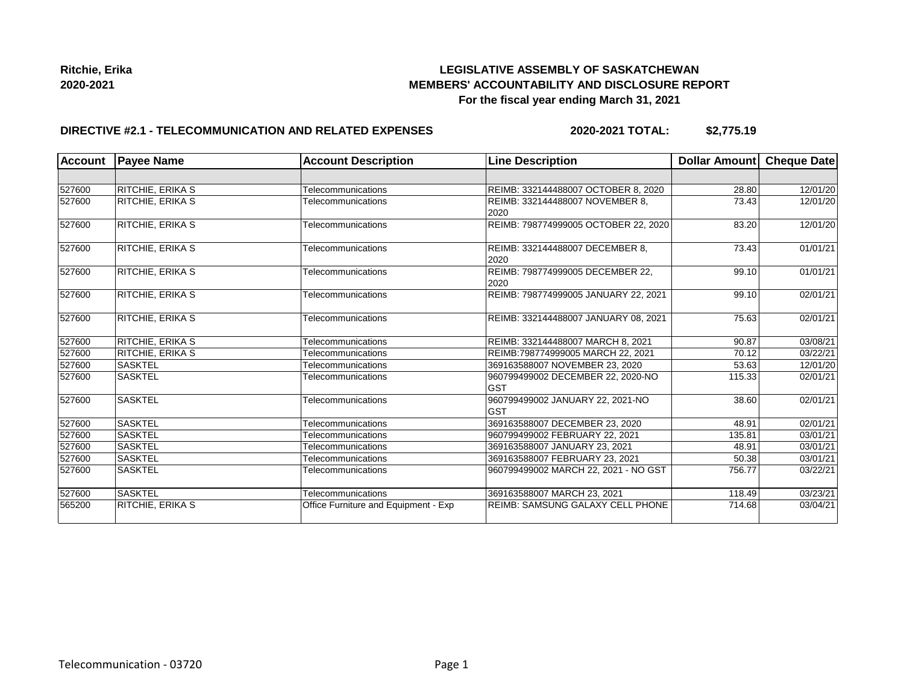

## **LEGISLATIVE ASSEMBLY OF SASKATCHEWAN MEMBERS' ACCOUNTABILITY AND DISCLOSURE REPORT For the fiscal year ending March 31, 2021**

### **DIRECTIVE #2.1 - TELECOMMUNICATION AND RELATED EXPENSES**

**2020-2021 TOTAL: \$2,775.19**

| <b>Account</b> | <b>Payee Name</b>       | <b>Account Description</b>           | <b>Line Description</b>                         | Dollar Amount Cheque Date |          |
|----------------|-------------------------|--------------------------------------|-------------------------------------------------|---------------------------|----------|
|                |                         |                                      |                                                 |                           |          |
| 527600         | <b>RITCHIE, ERIKA S</b> | Telecommunications                   | REIMB: 332144488007 OCTOBER 8, 2020             | 28.80                     | 12/01/20 |
| 527600         | RITCHIE, ERIKA S        | Telecommunications                   | REIMB: 332144488007 NOVEMBER 8.<br>2020         | 73.43                     | 12/01/20 |
| 527600         | RITCHIE, ERIKA S        | Telecommunications                   | REIMB: 798774999005 OCTOBER 22, 2020            | 83.20                     | 12/01/20 |
| 527600         | RITCHIE, ERIKA S        | Telecommunications                   | REIMB: 332144488007 DECEMBER 8,<br>2020         | 73.43                     | 01/01/21 |
| 527600         | RITCHIE, ERIKA S        | Telecommunications                   | REIMB: 798774999005 DECEMBER 22,<br>2020        | 99.10                     | 01/01/21 |
| 527600         | RITCHIE, ERIKA S        | Telecommunications                   | REIMB: 798774999005 JANUARY 22, 2021            | 99.10                     | 02/01/21 |
| 527600         | RITCHIE, ERIKA S        | Telecommunications                   | REIMB: 332144488007 JANUARY 08, 2021            | 75.63                     | 02/01/21 |
| 527600         | <b>RITCHIE, ERIKA S</b> | Telecommunications                   | REIMB: 332144488007 MARCH 8, 2021               | 90.87                     | 03/08/21 |
| 527600         | RITCHIE, ERIKA S        | Telecommunications                   | REIMB:798774999005 MARCH 22, 2021               | 70.12                     | 03/22/21 |
| 527600         | <b>SASKTEL</b>          | Telecommunications                   | 369163588007 NOVEMBER 23, 2020                  | 53.63                     | 12/01/20 |
| 527600         | <b>SASKTEL</b>          | Telecommunications                   | 960799499002 DECEMBER 22, 2020-NO<br><b>GST</b> | 115.33                    | 02/01/21 |
| 527600         | <b>SASKTEL</b>          | Telecommunications                   | 960799499002 JANUARY 22, 2021-NO<br><b>GST</b>  | 38.60                     | 02/01/21 |
| 527600         | <b>SASKTEL</b>          | Telecommunications                   | 369163588007 DECEMBER 23, 2020                  | 48.91                     | 02/01/21 |
| 527600         | <b>SASKTEL</b>          | Telecommunications                   | 960799499002 FEBRUARY 22, 2021                  | 135.81                    | 03/01/21 |
| 527600         | <b>SASKTEL</b>          | Telecommunications                   | 369163588007 JANUARY 23, 2021                   | 48.91                     | 03/01/21 |
| 527600         | <b>SASKTEL</b>          | Telecommunications                   | 369163588007 FEBRUARY 23, 2021                  | 50.38                     | 03/01/21 |
| 527600         | <b>SASKTEL</b>          | Telecommunications                   | 960799499002 MARCH 22, 2021 - NO GST            | 756.77                    | 03/22/21 |
| 527600         | <b>SASKTEL</b>          | Telecommunications                   | 369163588007 MARCH 23, 2021                     | 118.49                    | 03/23/21 |
| 565200         | RITCHIE, ERIKA S        | Office Furniture and Equipment - Exp | REIMB: SAMSUNG GALAXY CELL PHONE                | 714.68                    | 03/04/21 |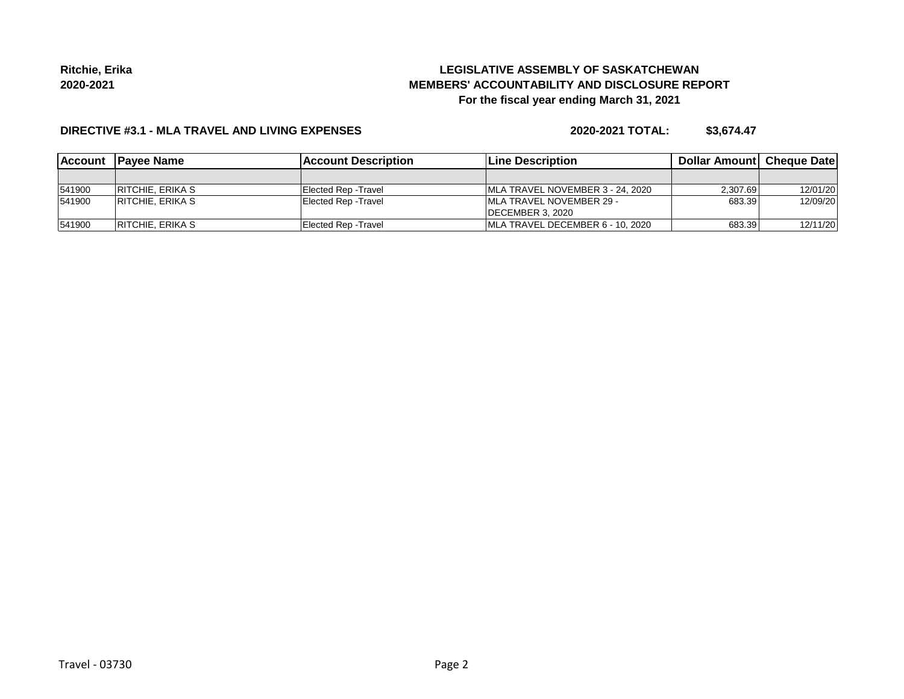# **LEGISLATIVE ASSEMBLY OF SASKATCHEWAN MEMBERS' ACCOUNTABILITY AND DISCLOSURE REPORT For the fiscal year ending March 31, 2021**

#### **DIRECTIVE #3.1 - MLA TRAVEL AND LIVING EXPENSES**

**2020-2021 TOTAL: \$3,674.47**

| <b>Account</b> | <b>IPavee Name</b>      | <b>IAccount Description</b> | <b>ILine Description</b>         | <b>Dollar Amountl Cheque Date</b> |          |
|----------------|-------------------------|-----------------------------|----------------------------------|-----------------------------------|----------|
|                |                         |                             |                                  |                                   |          |
| 541900         | RITCHIE, ERIKA S        | Elected Rep - Travel        | MLA TRAVEL NOVEMBER 3 - 24, 2020 | 2,307.69                          | 12/01/20 |
| 541900         | IRITCHIE. ERIKA S       | Elected Rep - Travel        | IMLA TRAVEL NOVEMBER 29 -        | 683.39                            | 12/09/20 |
|                |                         |                             | IDECEMBER 3, 2020                |                                   |          |
| 541900         | <b>RITCHIE, ERIKA S</b> | Elected Rep - Travel        | MLA TRAVEL DECEMBER 6 - 10, 2020 | 683.39                            | 12/11/20 |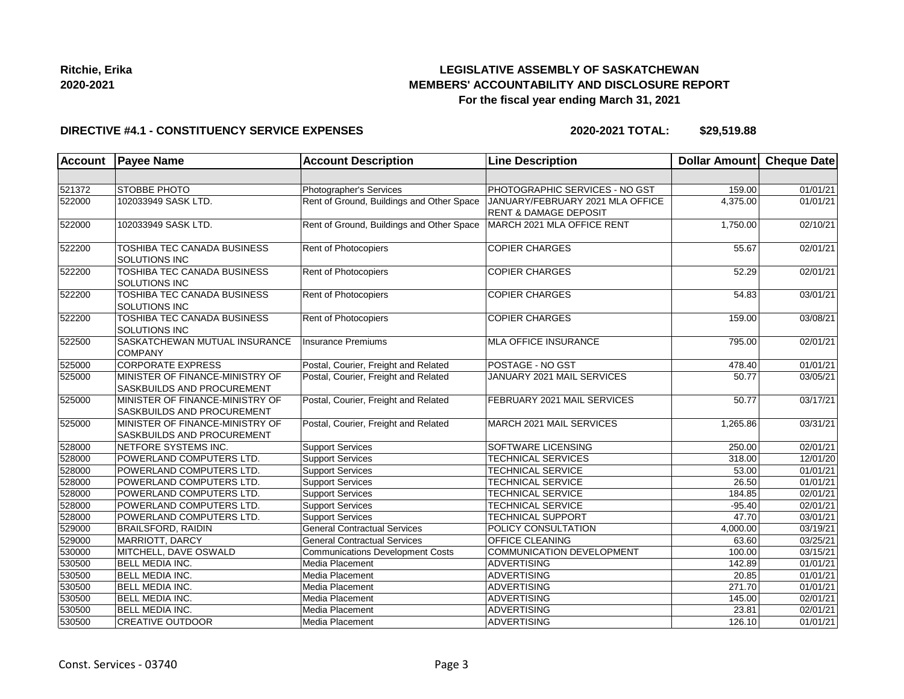

## **LEGISLATIVE ASSEMBLY OF SASKATCHEWAN MEMBERS' ACCOUNTABILITY AND DISCLOSURE REPORT For the fiscal year ending March 31, 2021**

#### **DIRECTIVE #4.1 - CONSTITUENCY SERVICE EXPENSES**

**2020-2021 TOTAL: \$29,519.88**

| <b>Account</b> | <b>Payee Name</b>                                             | <b>Account Description</b>                | <b>Line Description</b>                                              | Dollar Amount Cheque Date |                       |
|----------------|---------------------------------------------------------------|-------------------------------------------|----------------------------------------------------------------------|---------------------------|-----------------------|
|                |                                                               |                                           |                                                                      |                           |                       |
| 521372         | STOBBE PHOTO                                                  | Photographer's Services                   | PHOTOGRAPHIC SERVICES - NO GST                                       | 159.00                    | 01/01/21              |
| 522000         | 102033949 SASK LTD.                                           | Rent of Ground, Buildings and Other Space | JANUARY/FEBRUARY 2021 MLA OFFICE<br><b>RENT &amp; DAMAGE DEPOSIT</b> | 4.375.00                  | 01/01/21              |
| 522000         | 102033949 SASK LTD.                                           | Rent of Ground, Buildings and Other Space | MARCH 2021 MLA OFFICE RENT                                           | 1,750.00                  | 02/10/21              |
| 522200         | TOSHIBA TEC CANADA BUSINESS<br><b>SOLUTIONS INC</b>           | Rent of Photocopiers                      | <b>COPIER CHARGES</b>                                                | 55.67                     | 02/01/21              |
| 522200         | <b>TOSHIBA TEC CANADA BUSINESS</b><br>SOLUTIONS INC           | Rent of Photocopiers                      | <b>COPIER CHARGES</b>                                                | 52.29                     | 02/01/21              |
| 522200         | TOSHIBA TEC CANADA BUSINESS<br>SOLUTIONS INC                  | Rent of Photocopiers                      | <b>COPIER CHARGES</b>                                                | 54.83                     | 03/01/21              |
| 522200         | <b>TOSHIBA TEC CANADA BUSINESS</b><br>SOLUTIONS INC           | Rent of Photocopiers                      | <b>COPIER CHARGES</b>                                                | 159.00                    | 03/08/21              |
| 522500         | SASKATCHEWAN MUTUAL INSURANCE<br><b>COMPANY</b>               | <b>Insurance Premiums</b>                 | <b>MLA OFFICE INSURANCE</b>                                          | 795.00                    | 02/01/21              |
| 525000         | <b>CORPORATE EXPRESS</b>                                      | Postal, Courier, Freight and Related      | POSTAGE - NO GST                                                     | 478.40                    | 01/01/21              |
| 525000         | MINISTER OF FINANCE-MINISTRY OF<br>SASKBUILDS AND PROCUREMENT | Postal, Courier, Freight and Related      | JANUARY 2021 MAIL SERVICES                                           | 50.77                     | 03/05/21              |
| 525000         | MINISTER OF FINANCE-MINISTRY OF<br>SASKBUILDS AND PROCUREMENT | Postal, Courier, Freight and Related      | <b>FEBRUARY 2021 MAIL SERVICES</b>                                   | 50.77                     | 03/17/21              |
| 525000         | MINISTER OF FINANCE-MINISTRY OF<br>SASKBUILDS AND PROCUREMENT | Postal, Courier, Freight and Related      | MARCH 2021 MAIL SERVICES                                             | 1,265.86                  | 03/31/21              |
| 528000         | NETFORE SYSTEMS INC.                                          | <b>Support Services</b>                   | SOFTWARE LICENSING                                                   | 250.00                    | 02/01/21              |
| 528000         | POWERLAND COMPUTERS LTD.                                      | <b>Support Services</b>                   | <b>TECHNICAL SERVICES</b>                                            | 318.00                    | 12/01/20              |
| 528000         | POWERLAND COMPUTERS LTD.                                      | <b>Support Services</b>                   | <b>TECHNICAL SERVICE</b>                                             | 53.00                     | 01/01/21              |
| 528000         | POWERLAND COMPUTERS LTD.                                      | <b>Support Services</b>                   | <b>TECHNICAL SERVICE</b>                                             | 26.50                     | $\overline{01/01/21}$ |
| 528000         | POWERLAND COMPUTERS LTD.                                      | <b>Support Services</b>                   | <b>TECHNICAL SERVICE</b>                                             | 184.85                    | 02/01/21              |
| 528000         | POWERLAND COMPUTERS LTD.                                      | <b>Support Services</b>                   | <b>TECHNICAL SERVICE</b>                                             | $-95.40$                  | 02/01/21              |
| 528000         | POWERLAND COMPUTERS LTD.                                      | <b>Support Services</b>                   | <b>TECHNICAL SUPPORT</b>                                             | 47.70                     | 03/01/21              |
| 529000         | <b>BRAILSFORD, RAIDIN</b>                                     | <b>General Contractual Services</b>       | POLICY CONSULTATION                                                  | 4,000.00                  | 03/19/21              |
| 529000         | MARRIOTT, DARCY                                               | <b>General Contractual Services</b>       | <b>OFFICE CLEANING</b>                                               | 63.60                     | 03/25/21              |
| 530000         | MITCHELL, DAVE OSWALD                                         | <b>Communications Development Costs</b>   | COMMUNICATION DEVELOPMENT                                            | 100.00                    | 03/15/21              |
| 530500         | <b>BELL MEDIA INC.</b>                                        | Media Placement                           | <b>ADVERTISING</b>                                                   | 142.89                    | 01/01/21              |
| 530500         | <b>BELL MEDIA INC.</b>                                        | Media Placement                           | ADVERTISING                                                          | 20.85                     | $\overline{01/01/21}$ |
| 530500         | <b>BELL MEDIA INC.</b>                                        | Media Placement                           | <b>ADVERTISING</b>                                                   | 271.70                    | 01/01/21              |
| 530500         | <b>BELL MEDIA INC.</b>                                        | Media Placement                           | ADVERTISING                                                          | 145.00                    | 02/01/21              |
| 530500         | <b>BELL MEDIA INC.</b>                                        | Media Placement                           | <b>ADVERTISING</b>                                                   | 23.81                     | 02/01/21              |
| 530500         | <b>CREATIVE OUTDOOR</b>                                       | <b>Media Placement</b>                    | ADVERTISING                                                          | 126.10                    | 01/01/21              |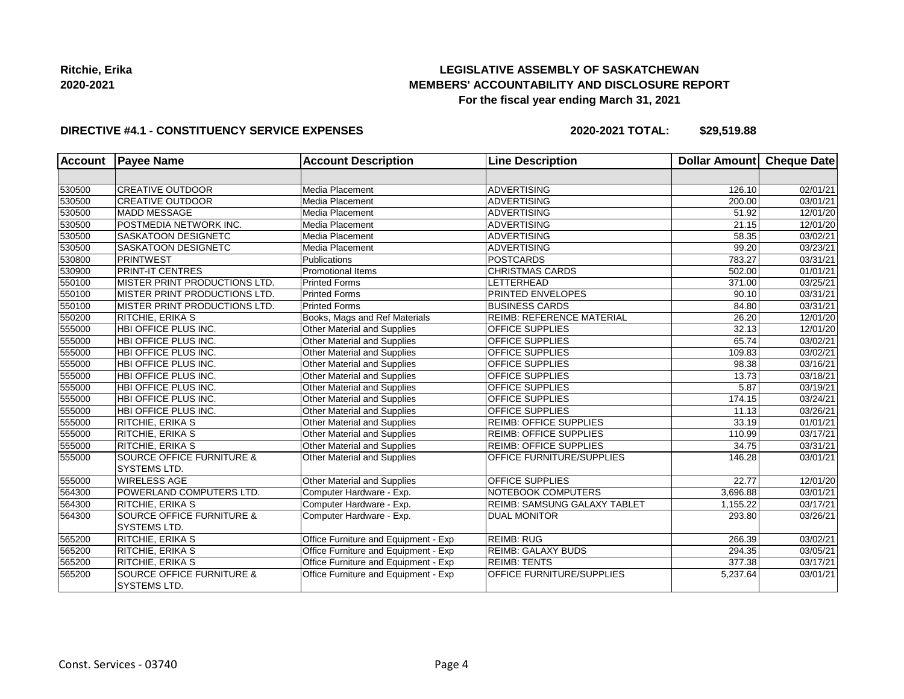## **LEGISLATIVE ASSEMBLY OF SASKATCHEWAN MEMBERS' ACCOUNTABILITY AND DISCLOSURE REPORT For the fiscal year ending March 31, 2021**

### **DIRECTIVE #4.1 - CONSTITUENCY SERVICE EXPENSES**

**2020-2021 TOTAL: \$29,519.88**

| <b>Account</b> | <b>Payee Name</b>                                           | <b>Account Description</b>           | <b>Line Description</b>       | <b>Dollar Amount</b> | <b>Cheque Date</b> |
|----------------|-------------------------------------------------------------|--------------------------------------|-------------------------------|----------------------|--------------------|
|                |                                                             |                                      |                               |                      |                    |
| 530500         | <b>CREATIVE OUTDOOR</b>                                     | Media Placement                      | <b>ADVERTISING</b>            | 126.10               | 02/01/21           |
| 530500         | <b>CREATIVE OUTDOOR</b>                                     | Media Placement                      | <b>ADVERTISING</b>            | 200.00               | 03/01/21           |
| 530500         | <b>MADD MESSAGE</b>                                         | Media Placement                      | <b>ADVERTISING</b>            | 51.92                | 12/01/20           |
| 530500         | POSTMEDIA NETWORK INC.                                      | Media Placement                      | <b>ADVERTISING</b>            | 21.15                | 12/01/20           |
| 530500         | SASKATOON DESIGNETC                                         | Media Placement                      | <b>ADVERTISING</b>            | 58.35                | 03/02/21           |
| 530500         | SASKATOON DESIGNETC                                         | Media Placement                      | <b>ADVERTISING</b>            | 99.20                | 03/23/21           |
| 530800         | <b>PRINTWEST</b>                                            | Publications                         | <b>POSTCARDS</b>              | 783.27               | 03/31/21           |
| 530900         | PRINT-IT CENTRES                                            | <b>Promotional Items</b>             | <b>CHRISTMAS CARDS</b>        | 502.00               | 01/01/21           |
| 550100         | MISTER PRINT PRODUCTIONS LTD.                               | <b>Printed Forms</b>                 | LETTERHEAD                    | 371.00               | 03/25/21           |
| 550100         | MISTER PRINT PRODUCTIONS LTD.                               | <b>Printed Forms</b>                 | PRINTED ENVELOPES             | 90.10                | 03/31/21           |
| 550100         | MISTER PRINT PRODUCTIONS LTD.                               | <b>Printed Forms</b>                 | <b>BUSINESS CARDS</b>         | 84.80                | 03/31/21           |
| 550200         | <b>RITCHIE, ERIKA S</b>                                     | Books, Mags and Ref Materials        | REIMB: REFERENCE MATERIAL     | 26.20                | 12/01/20           |
| 555000         | HBI OFFICE PLUS INC.                                        | Other Material and Supplies          | <b>OFFICE SUPPLIES</b>        | 32.13                | 12/01/20           |
| 555000         | HBI OFFICE PLUS INC.                                        | Other Material and Supplies          | OFFICE SUPPLIES               | 65.74                | 03/02/21           |
| 555000         | HBI OFFICE PLUS INC.                                        | Other Material and Supplies          | OFFICE SUPPLIES               | 109.83               | 03/02/21           |
| 555000         | HBI OFFICE PLUS INC.                                        | Other Material and Supplies          | OFFICE SUPPLIES               | 98.38                | 03/16/21           |
| 555000         | HBI OFFICE PLUS INC.                                        | Other Material and Supplies          | OFFICE SUPPLIES               | 13.73                | 03/18/21           |
| 555000         | HBI OFFICE PLUS INC.                                        | Other Material and Supplies          | OFFICE SUPPLIES               | 5.87                 | 03/19/21           |
| 555000         | HBI OFFICE PLUS INC.                                        | Other Material and Supplies          | OFFICE SUPPLIES               | 174.15               | 03/24/21           |
| 555000         | HBI OFFICE PLUS INC.                                        | <b>Other Material and Supplies</b>   | <b>OFFICE SUPPLIES</b>        | 11.13                | 03/26/21           |
| 555000         | RITCHIE, ERIKA S                                            | <b>Other Material and Supplies</b>   | <b>REIMB: OFFICE SUPPLIES</b> | 33.19                | 01/01/21           |
| 555000         | RITCHIE, ERIKA S                                            | Other Material and Supplies          | REIMB: OFFICE SUPPLIES        | 110.99               | 03/17/21           |
| 555000         | <b>RITCHIE, ERIKA S</b>                                     | <b>Other Material and Supplies</b>   | <b>REIMB: OFFICE SUPPLIES</b> | 34.75                | 03/31/21           |
| 555000         | <b>SOURCE OFFICE FURNITURE &amp;</b><br><b>SYSTEMS LTD.</b> | Other Material and Supplies          | OFFICE FURNITURE/SUPPLIES     | 146.28               | 03/01/21           |
| 555000         | <b>WIRELESS AGE</b>                                         | Other Material and Supplies          | OFFICE SUPPLIES               | 22.77                | 12/01/20           |
| 564300         | POWERLAND COMPUTERS LTD.                                    | Computer Hardware - Exp.             | NOTEBOOK COMPUTERS            | 3,696.88             | 03/01/21           |
| 564300         | <b>RITCHIE, ERIKA S</b>                                     | Computer Hardware - Exp.             | REIMB: SAMSUNG GALAXY TABLET  | 1,155.22             | 03/17/21           |
| 564300         | <b>SOURCE OFFICE FURNITURE &amp;</b><br><b>SYSTEMS LTD.</b> | Computer Hardware - Exp.             | <b>DUAL MONITOR</b>           | 293.80               | 03/26/21           |
| 565200         | <b>RITCHIE, ERIKA S</b>                                     | Office Furniture and Equipment - Exp | <b>REIMB: RUG</b>             | 266.39               | 03/02/21           |
| 565200         | <b>RITCHIE, ERIKA S</b>                                     | Office Furniture and Equipment - Exp | <b>REIMB: GALAXY BUDS</b>     | 294.35               | 03/05/21           |
| 565200         | <b>RITCHIE, ERIKA S</b>                                     | Office Furniture and Equipment - Exp | <b>REIMB: TENTS</b>           | 377.38               | 03/17/21           |
| 565200         | <b>SOURCE OFFICE FURNITURE &amp;</b><br><b>SYSTEMS LTD.</b> | Office Furniture and Equipment - Exp | OFFICE FURNITURE/SUPPLIES     | 5,237.64             | 03/01/21           |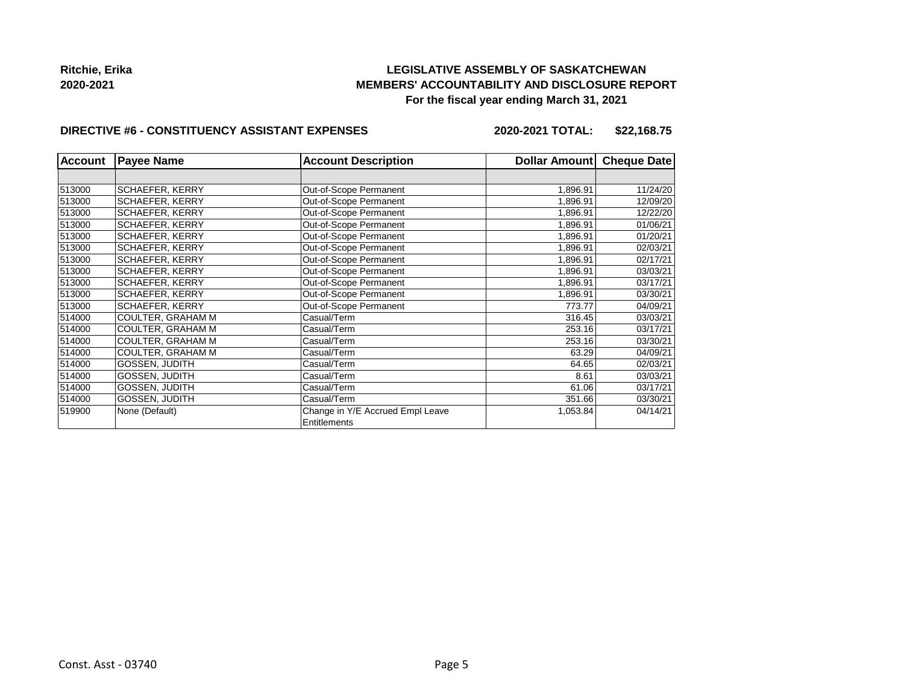## **LEGISLATIVE ASSEMBLY OF SASKATCHEWAN MEMBERS' ACCOUNTABILITY AND DISCLOSURE REPORT For the fiscal year ending March 31, 2021**

#### **DIRECTIVE #6 - CONSTITUENCY ASSISTANT EXPENSES**

**2020-2021 TOTAL: \$22,168.75**

| <b>Account</b> | <b>Payee Name</b>        | <b>Account Description</b>                       | Dollar Amount Cheque Date |          |
|----------------|--------------------------|--------------------------------------------------|---------------------------|----------|
|                |                          |                                                  |                           |          |
| 513000         | <b>SCHAEFER, KERRY</b>   | Out-of-Scope Permanent                           | 1,896.91                  | 11/24/20 |
| 513000         | <b>SCHAEFER, KERRY</b>   | Out-of-Scope Permanent                           | 1,896.91                  | 12/09/20 |
| 513000         | <b>SCHAEFER, KERRY</b>   | Out-of-Scope Permanent                           | 1,896.91                  | 12/22/20 |
| 513000         | <b>SCHAEFER, KERRY</b>   | Out-of-Scope Permanent                           | 1,896.91                  | 01/06/21 |
| 513000         | <b>SCHAEFER, KERRY</b>   | Out-of-Scope Permanent                           | 1,896.91                  | 01/20/21 |
| 513000         | <b>SCHAEFER, KERRY</b>   | Out-of-Scope Permanent                           | 1,896.91                  | 02/03/21 |
| 513000         | <b>SCHAEFER, KERRY</b>   | Out-of-Scope Permanent                           | 1,896.91                  | 02/17/21 |
| 513000         | <b>SCHAEFER, KERRY</b>   | Out-of-Scope Permanent                           | 1,896.91                  | 03/03/21 |
| 513000         | <b>SCHAEFER, KERRY</b>   | Out-of-Scope Permanent                           | 1,896.91                  | 03/17/21 |
| 513000         | <b>SCHAEFER, KERRY</b>   | Out-of-Scope Permanent                           | 1,896.91                  | 03/30/21 |
| 513000         | <b>SCHAEFER, KERRY</b>   | Out-of-Scope Permanent                           | 773.77                    | 04/09/21 |
| 514000         | <b>COULTER, GRAHAM M</b> | Casual/Term                                      | 316.45                    | 03/03/21 |
| 514000         | <b>COULTER, GRAHAM M</b> | Casual/Term                                      | 253.16                    | 03/17/21 |
| 514000         | <b>COULTER, GRAHAM M</b> | Casual/Term                                      | 253.16                    | 03/30/21 |
| 514000         | <b>COULTER, GRAHAM M</b> | Casual/Term                                      | 63.29                     | 04/09/21 |
| 514000         | GOSSEN, JUDITH           | Casual/Term                                      | 64.65                     | 02/03/21 |
| 514000         | <b>GOSSEN, JUDITH</b>    | Casual/Term                                      | 8.61                      | 03/03/21 |
| 514000         | GOSSEN, JUDITH           | Casual/Term                                      | 61.06                     | 03/17/21 |
| 514000         | GOSSEN, JUDITH           | Casual/Term                                      | 351.66                    | 03/30/21 |
| 519900         | None (Default)           | Change in Y/E Accrued Empl Leave<br>Entitlements | 1,053.84                  | 04/14/21 |